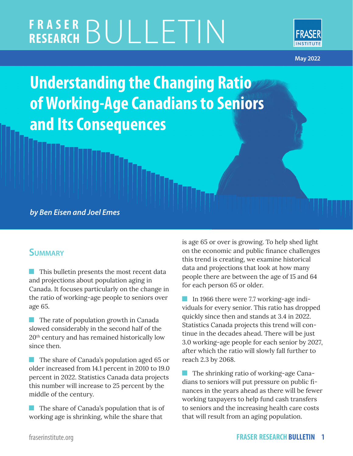# **FRASER RESEARCH** BULLETIN



**May 2022**

**Understanding the Changing Ratio of Working-Age Canadians to Seniors and Its Consequences**

*by Ben Eisen and Joel Emes*

### **Summary**

**This bulletin presents the most recent data** and projections about population aging in Canada. It focuses particularly on the change in the ratio of working-age people to seniors over age 65.

**The rate of population growth in Canada** slowed considerably in the second half of the 20th century and has remained historically low since then.

**The share of Canada's population aged 65 or** older increased from 14.1 percent in 2010 to 19.0 percent in 2022. Statistics Canada data projects this number will increase to 25 percent by the middle of the century.

**The share of Canada's population that is of** working age is shrinking, while the share that

is age 65 or over is growing. To help shed light on the economic and public finance challenges this trend is creating, we examine historical data and projections that look at how many people there are between the age of 15 and 64 for each person 65 or older.

In 1966 there were 7.7 working-age individuals for every senior. This ratio has dropped quickly since then and stands at 3.4 in 2022. Statistics Canada projects this trend will continue in the decades ahead. There will be just 3.0 working-age people for each senior by 2027, after which the ratio will slowly fall further to reach 2.3 by 2068.

**The shrinking ratio of working-age Cana**dians to seniors will put pressure on public finances in the years ahead as there will be fewer working taxpayers to help fund cash transfers to seniors and the increasing health care costs that will result from an aging population.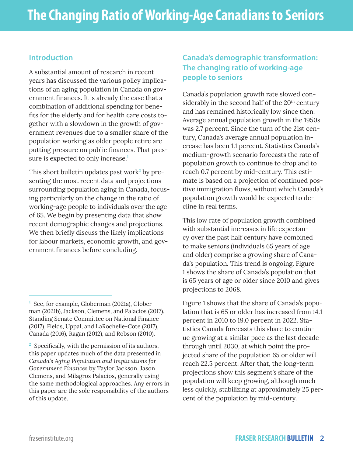#### **Introduction**

A substantial amount of research in recent years has discussed the various policy implications of an aging population in Canada on government finances. It is already the case that a combination of additional spending for benefits for the elderly and for health care costs together with a slowdown in the growth of government revenues due to a smaller share of the population working as older people retire are putting pressure on public finances. That pressure is expected to only increase.**<sup>1</sup>**

This short bulletin updates past work<sup>2</sup> by presenting the most recent data and projections surrounding population aging in Canada, focusing particularly on the change in the ratio of working-age people to individuals over the age of 65. We begin by presenting data that show recent demographic changes and projections. We then briefly discuss the likely implications for labour markets, economic growth, and government finances before concluding.

#### **Canada's demographic transformation: The changing ratio of working-age people to seniors**

Canada's population growth rate slowed considerably in the second half of the  $20<sup>th</sup>$  century and has remained historically low since then. Average annual population growth in the 1950s was 2.7 percent. Since the turn of the 21st century, Canada's average annual population increase has been 1.1 percent. Statistics Canada's medium-growth scenario forecasts the rate of population growth to continue to drop and to reach 0.7 percent by mid-century. This estimate is based on a projection of continued positive immigration flows, without which Canada's population growth would be expected to decline in real terms.

This low rate of population growth combined with substantial increases in life expectancy over the past half century have combined to make seniors (individuals 65 years of age and older) comprise a growing share of Canada's population. This trend is ongoing. Figure 1 shows the share of Canada's population that is 65 years of age or older since 2010 and gives projections to 2068.

Figure 1 shows that the share of Canada's population that is 65 or older has increased from 14.1 percent in 2010 to 19.0 percent in 2022. Statistics Canada forecasts this share to continue growing at a similar pace as the last decade through until 2030, at which point the projected share of the population 65 or older will reach 22.5 percent. After that, the long-term projections show this segment's share of the population will keep growing, although much less quickly, stabilizing at approximately 25 percent of the population by mid-century.

**<sup>1</sup>** See, for example, Globerman (2021a), Globerman (2021b), Jackson, Clemens, and Palacios (2017), Standing Senate Committee on National Finance (2017), Fields, Uppal, and LaRochelle-Cote (2017), Canada (2016), Ragan (2012), and Robson (2010).

**<sup>2</sup>** Specifically, with the permission of its authors, this paper updates much of the data presented in *Canada's Aging Population and Implications for Government Finances* by Taylor Jackson, Jason Clemens, and Milagros Palacios, generally using the same methodological approaches. Any errors in this paper are the sole responsibility of the authors of this update.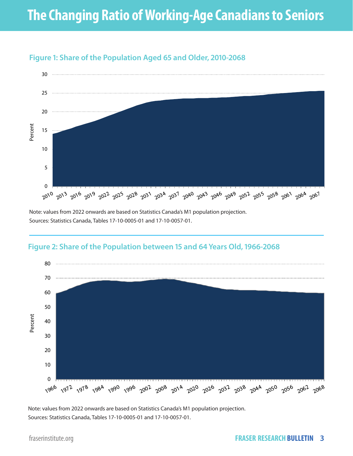

#### **Figure 1: Share of the Population Aged 65 and Older, 2010-2068**

Note: values from 2022 onwards are based on Statistics Canada's M1 population projection. Sources: Statistics Canada, Tables 17-10-0005-01 and 17-10-0057-01.



#### **Figure 2: Share of the Population between 15 and 64 Years Old, 1966-2068**

Note: values from 2022 onwards are based on Statistics Canada's M1 population projection. Sources: Statistics Canada, Tables 17-10-0005-01 and 17-10-0057-01.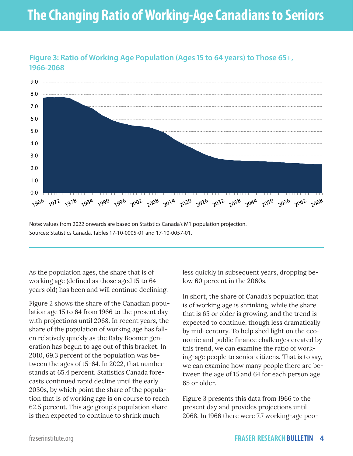## **The Changing Ratio of Working-Age Canadians to Seniors**



#### **Figure 3: Ratio of Working Age Population (Ages 15 to 64 years) to Those 65+, 1966-2068**

Note: values from 2022 onwards are based on Statistics Canada's M1 population projection. Sources: Statistics Canada, Tables 17-10-0005-01 and 17-10-0057-01.

As the population ages, the share that is of working age (defined as those aged 15 to 64 years old) has been and will continue declining.

Figure 2 shows the share of the Canadian population age 15 to 64 from 1966 to the present day with projections until 2068. In recent years, the share of the population of working age has fallen relatively quickly as the Baby Boomer generation has begun to age out of this bracket. In 2010, 69.3 percent of the population was between the ages of 15-64. In 2022, that number stands at 65.4 percent. Statistics Canada forecasts continued rapid decline until the early 2030s, by which point the share of the population that is of working age is on course to reach 62.5 percent. This age group's population share is then expected to continue to shrink much

less quickly in subsequent years, dropping below 60 percent in the 2060s.

In short, the share of Canada's population that is of working age is shrinking, while the share that is 65 or older is growing, and the trend is expected to continue, though less dramatically by mid-century. To help shed light on the economic and public finance challenges created by this trend, we can examine the ratio of working-age people to senior citizens. That is to say, we can examine how many people there are between the age of 15 and 64 for each person age 65 or older.

Figure 3 presents this data from 1966 to the present day and provides projections until 2068. In 1966 there were 7.7 working-age peo-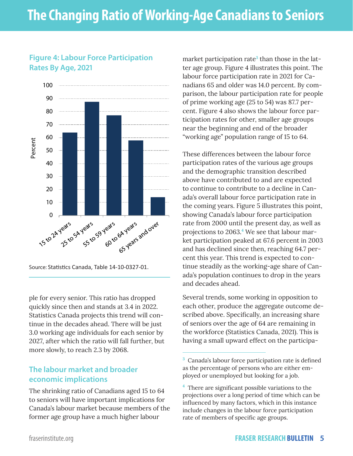#### **Figure 4: Labour Force Participation Rates By Age, 2021**



Source: Statistics Canada, Table 14-10-0327-01.

ple for every senior. This ratio has dropped quickly since then and stands at 3.4 in 2022. Statistics Canada projects this trend will continue in the decades ahead. There will be just 3.0 working age individuals for each senior by 2027, after which the ratio will fall further, but more slowly, to reach 2.3 by 2068.

#### **The labour market and broader economic implications**

The shrinking ratio of Canadians aged 15 to 64 to seniors will have important implications for Canada's labour market because members of the former age group have a much higher labour

market participation rate<sup>3</sup> than those in the latter age group. Figure 4 illustrates this point. The labour force participation rate in 2021 for Canadians 65 and older was 14.0 percent. By comparison, the labour participation rate for people of prime working age (25 to 54) was 87.7 percent. Figure 4 also shows the labour force participation rates for other, smaller age groups near the beginning and end of the broader "working age" population range of 15 to 64.

These differences between the labour force participation rates of the various age groups and the demographic transition described above have contributed to and are expected to continue to contribute to a decline in Canada's overall labour force participation rate in the coming years. Figure 5 illustrates this point, showing Canada's labour force participation rate from 2000 until the present day, as well as projections to 2063.**<sup>4</sup>** We see that labour market participation peaked at 67.6 percent in 2003 and has declined since then, reaching 64.7 percent this year. This trend is expected to continue steadily as the working-age share of Canada's population continues to drop in the years and decades ahead.

Several trends, some working in opposition to each other, produce the aggregate outcome described above. Specifically, an increasing share of seniors over the age of 64 are remaining in the workforce (Statistics Canada, 2021). This is having a small upward effect on the participa-

**<sup>3</sup>** Canada's labour force participation rate is defined as the percentage of persons who are either employed or unemployed but looking for a job.

**<sup>4</sup>** There are significant possible variations to the projections over a long period of time which can be influenced by many factors, which in this instance include changes in the labour force participation rate of members of specific age groups.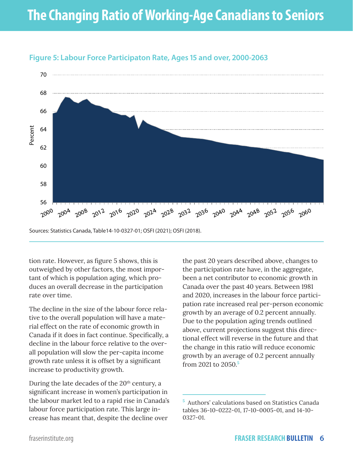

#### **Figure 5: Labour Force Participaton Rate, Ages 15 and over, 2000-2063**

tion rate. However, as figure 5 shows, this is outweighed by other factors, the most important of which is population aging, which produces an overall decrease in the participation

The decline in the size of the labour force relative to the overall population will have a material effect on the rate of economic growth in Canada if it does in fact continue. Specifically, a decline in the labour force relative to the overall population will slow the per-capita income growth rate unless it is offset by a significant increase to productivity growth.

During the late decades of the  $20<sup>th</sup>$  century, a significant increase in women's participation in the labour market led to a rapid rise in Canada's labour force participation rate. This large increase has meant that, despite the decline over

the past 20 years described above, changes to the participation rate have, in the aggregate, been a net contributor to economic growth in Canada over the past 40 years. Between 1981 and 2020, increases in the labour force participation rate increased real per-person economic growth by an average of 0.2 percent annually. Due to the population aging trends outlined above, current projections suggest this directional effect will reverse in the future and that the change in this ratio will reduce economic growth by an average of 0.2 percent annually from 2021 to 2050.**<sup>5</sup>**

rate over time.

**<sup>5</sup>** Authors' calculations based on Statistics Canada tables 36-10-0222-01, 17-10-0005-01, and 14-10- 0327-01.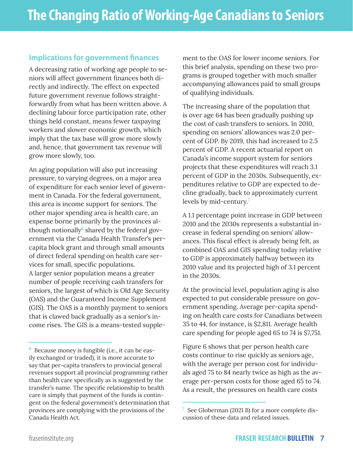#### **Implications for government finances**

A decreasing ratio of working age people to seniors will affect government finances both directly and indirectly. The effect on expected future government revenue follows straightforwardly from what has been written above. A declining labour force participation rate, other things held constant, means fewer taxpaying workers and slower economic growth, which imply that the tax base will grow more slowly and, hence, that government tax revenue will grow more slowly, too.

An aging population will also put increasing pressure, to varying degrees, on a major area of expenditure for each senior level of government in Canada. For the federal government, this area is income support for seniors. The other major spending area is health care, an expense borne primarily by the provinces although notionally<sup>6</sup> shared by the federal government via the Canada Health Transfer's percapita block grant and through small amounts of direct federal spending on health care services for small, specific populations. A larger senior population means a greater number of people receiving cash transfers for seniors, the largest of which is Old Age Security (OAS) and the Guaranteed Income Supplement (GIS). The OAS is a monthly payment to seniors that is clawed back gradually as a senior's income rises. The GIS is a means-tested supplement to the OAS for lower income seniors. For this brief analysis, spending on these two programs is grouped together with much smaller accompanying allowances paid to small groups of qualifying individuals.

The increasing share of the population that is over age 64 has been gradually pushing up the cost of cash transfers to seniors. In 2010, spending on seniors' allowances was 2.0 percent of GDP. By 2019, this had increased to 2.5 percent of GDP. A recent actuarial report on Canada's income support system for seniors projects that these expenditures will reach 3.1 percent of GDP in the 2030s. Subsequently, expenditures relative to GDP are expected to decline gradually, back to approximately current levels by mid-century.**<sup>7</sup>**

A 1.1 percentage point increase in GDP between 2010 and the 2030s represents a substantial increase in federal spending on seniors' allowances. This fiscal effect is already being felt, as combined OAS and GIS spending today relative to GDP is approximately halfway between its 2010 value and its projected high of 3.1 percent in the 2030s.

At the provincial level, population aging is also expected to put considerable pressure on government spending. Average per-capita spending on health care costs for Canadians between 35 to 44, for instance, is \$2,811. Average health care spending for people aged 65 to 74 is \$7,751.

Figure 6 shows that per person health care costs continue to rise quickly as seniors age, with the average per person cost for individuals aged 75 to 84 nearly twice as high as the average per-person costs for those aged 65 to 74. As a result, the pressures on health care costs

**<sup>6</sup>** Because money is fungible (i.e., it can be easily exchanged or traded), it is more accurate to say that per-capita transfers to provincial general revenues support all provincial programming rather than health care specifically as is suggested by the transfer's name. The specific relationship to health care is simply that payment of the funds is contingent on the federal government's determination that provinces are complying with the provisions of the Canada Health Act.

**<sup>7</sup>** See Globerman (2021 B) for a more complete discussion of these data and related issues.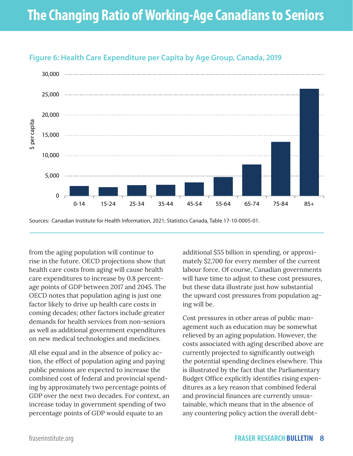

#### **Figure 6: Health Care Expenditure per Capita by Age Group, Canada, 2019**

Sources: Canadian Institute for Health Information, 2021; Statistics Canada, Table 17-10-0005-01.

from the aging population will continue to rise in the future. OECD projections show that health care costs from aging will cause health care expenditures to increase by 0.8 percentage points of GDP between 2017 and 2045. The OECD notes that population aging is just one factor likely to drive up health care costs in coming decades; other factors include greater demands for health services from non-seniors as well as additional government expenditures on new medical technologies and medicines.

All else equal and in the absence of policy action, the effect of population aging and paying public pensions are expected to increase the combined cost of federal and provincial spending by approximately two percentage points of GDP over the next two decades. For context, an increase today in government spending of two percentage points of GDP would equate to an

additional \$55 billion in spending, or approximately \$2,700 for every member of the current labour force. Of course, Canadian governments will have time to adjust to these cost pressures, but these data illustrate just how substantial the upward cost pressures from population aging will be.

Cost pressures in other areas of public management such as education may be somewhat relieved by an aging population. However, the costs associated with aging described above are currently projected to significantly outweigh the potential spending declines elsewhere. This is illustrated by the fact that the Parliamentary Budget Office explicitly identifies rising expenditures as a key reason that combined federal and provincial finances are currently unsustainable, which means that in the absence of any countering policy action the overall debt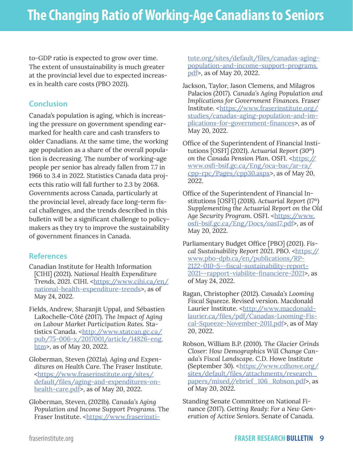to-GDP ratio is expected to grow over time. The extent of unsustainability is much greater at the provincial level due to expected increases in health care costs (PBO 2021).

#### **Conclusion**

Canada's population is aging, which is increasing the pressure on government spending earmarked for health care and cash transfers to older Canadians. At the same time, the working age population as a share of the overall population is decreasing. The number of working-age people per senior has already fallen from 7.7 in 1966 to 3.4 in 2022. Statistics Canada data projects this ratio will fall further to 2.3 by 2068. Governments across Canada, particularly at the provincial level, already face long-term fiscal challenges, and the trends described in this bulletin will be a significant challenge to policymakers as they try to improve the sustainability of government finances in Canada.

#### **References**

- Canadian Institute for Health Information [CIHI] (2021). *National Health Expenditure*  Trends, 2021. CIHI. <https://www.cihi.ca/en/ national-health-expenditure-trends>, as of May 24, 2022.
- Fields, Andrew, Sharanjit Uppal, and Sébastien LaRochelle-Côté (2017). *The Impact of Aging on Labour Market Participation Rates.* Statistics Canada. <[http://www.statcan.gc.ca/](http://www.statcan.gc.ca/pub/75-006-x/2017001/article/14826-eng.htm) [pub/75-006-x/2017001/article/14826-eng.](http://www.statcan.gc.ca/pub/75-006-x/2017001/article/14826-eng.htm) [htm>](http://www.statcan.gc.ca/pub/75-006-x/2017001/article/14826-eng.htm), as of May 20, 2022.
- Globerman, Steven (2021a). *Aging and Expenditures on Health Care*. The Fraser Institute. [<https://www.fraserinstitute.org/sites/](https://www.fraserinstitute.org/sites/default/files/aging-and-expenditures-on-health-care.pdf) [default/files/aging-and-expenditures-on](https://www.fraserinstitute.org/sites/default/files/aging-and-expenditures-on-health-care.pdf)[health-care.pdf>](https://www.fraserinstitute.org/sites/default/files/aging-and-expenditures-on-health-care.pdf), as of May 20, 2022.
- Globerman, Steven, (2021b). *Canada's Aging Population and Income Support Programs*. The Fraser Institute. <[https://www.fraserinsti-](https://www.fraserinstitute.org/sites/default/files/canadas-aging-population-and-income-support-programs.pdf)

[tute.org/sites/default/files/canadas-aging](https://www.fraserinstitute.org/sites/default/files/canadas-aging-population-and-income-support-programs.pdf)[population-and-income-support-programs.](https://www.fraserinstitute.org/sites/default/files/canadas-aging-population-and-income-support-programs.pdf) [pdf>](https://www.fraserinstitute.org/sites/default/files/canadas-aging-population-and-income-support-programs.pdf), as of May 20, 2022.

- Jackson, Taylor, Jason Clemens, and Milagros Palacios (2017). *Canada's Aging Population and Implications for Government Finances.* Fraser Institute. [<https://www.fraserinstitute.org/](https://www.fraserinstitute.org/studies/canadas-aging-population-and-implications-for-government-finances) [studies/canadas-aging-population-and-im](https://www.fraserinstitute.org/studies/canadas-aging-population-and-implications-for-government-finances)[plications-for-government-finances](https://www.fraserinstitute.org/studies/canadas-aging-population-and-implications-for-government-finances)>, as of May 20, 2022.
- Office of the Superintendent of Financial Institutions [OSFI] (2021). *Actuarial Report (30th)*  on the Canada Pension Plan. OSFI. [<https://](https://www.osfi-bsif.gc.ca/Eng/oca-bac/ar-ra/cpp-rpc/Pages/cpp30.aspx) [www.osfi-bsif.gc.ca/Eng/oca-bac/ar-ra/](https://www.osfi-bsif.gc.ca/Eng/oca-bac/ar-ra/cpp-rpc/Pages/cpp30.aspx) [cpp-rpc/Pages/cpp30.aspx](https://www.osfi-bsif.gc.ca/Eng/oca-bac/ar-ra/cpp-rpc/Pages/cpp30.aspx)>, as of May 20, 2022.
- Office of the Superintendent of Financial Institutions [OSFI] (2018). *Actuarial Report (17th) Supplementing the Actuarial Report on the Old*  Age Security Program. OSFI. [<https://www.](https://www.osfi-bsif.gc.ca/Eng/Docs/oas17.pdf) [osfi-bsif.gc.ca/Eng/Docs/oas17.pdf](https://www.osfi-bsif.gc.ca/Eng/Docs/oas17.pdf)>, as of May 20, 2022.
- Parliamentary Budget Office [PBO] (2021). *Fiscal Sustainability Report 2021. PBO. <https://* www.pbo-dpb.ca/en/publications/RP-2122-010-S--fiscal-sustainability-report-2021--rapport-viabilite-financiere-2021>, as of May 24, 2022.
- Ragan, Christopher (2012). *Canada's Looming Fiscal Squeeze.* Revised version*.* Macdonald Laurier Institute. [<http://www.macdonald](http://www.macdonaldlaurier.ca/files/pdf/Canadas-Looming-Fiscal-Squeeze-November-2011.pdf)[laurier.ca/files/pdf/Canadas-Looming-Fis](http://www.macdonaldlaurier.ca/files/pdf/Canadas-Looming-Fiscal-Squeeze-November-2011.pdf)[cal-Squeeze-November-2011.pdf>](http://www.macdonaldlaurier.ca/files/pdf/Canadas-Looming-Fiscal-Squeeze-November-2011.pdf), as of May 20, 2022.
- Robson, William B.P. (2010). *The Glacier Grinds Closer: How Demographics Will Change Canada's Fiscal Landscape*. C.D. Howe Institute (September 30). <[https://www.cdhowe.org/](https://www.cdhowe.org/sites/default/files/attachments/research_papers/mixed//ebrief_106_Robson.pdf) [sites/default/files/attachments/research\\_](https://www.cdhowe.org/sites/default/files/attachments/research_papers/mixed//ebrief_106_Robson.pdf) [papers/mixed//ebrief\\_106\\_Robson.pdf](https://www.cdhowe.org/sites/default/files/attachments/research_papers/mixed//ebrief_106_Robson.pdf)>, as of May 20, 2022.
- Standing Senate Committee on National Finance (2017). *Getting Ready: For a New Generation of Active Seniors*. Senate of Canada.